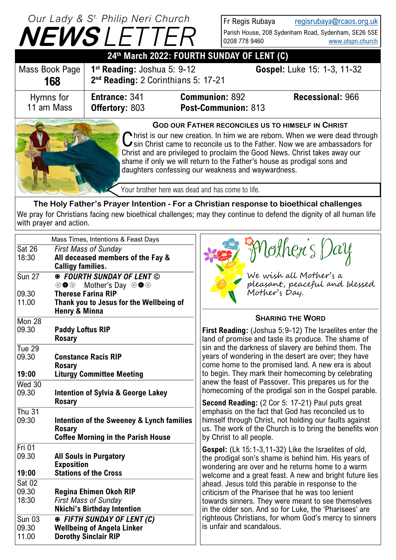## **NEWS** *LETTER Our Lady & S t. Philip Neri Church*

Fr Regis Rubaya [regisrubaya@rcaos.org.uk](mailto:regisrubaya@rcaos.org.uk) Parish House, 208 Sydenham Road, Sydenham, SE26 5SE 0208 778 9460 [www.olspn.church](http://www.olspn.church)

| 24th March 2022: FOURTH SUNDAY OF LENT (C) |                                                                                            |                                                          |                                                                                                                                                                                                                                                           |  |
|--------------------------------------------|--------------------------------------------------------------------------------------------|----------------------------------------------------------|-----------------------------------------------------------------------------------------------------------------------------------------------------------------------------------------------------------------------------------------------------------|--|
| Mass Book Page<br>168                      | 1 <sup>st</sup> Reading: Joshua 5: 9-12<br>2 <sup>nd</sup> Reading: 2 Corinthians 5: 17-21 |                                                          | Gospel: Luke 15: 1-3, 11-32                                                                                                                                                                                                                               |  |
| Hymns for<br>11 am Mass                    | <b>Entrance: 341</b><br><b>Offertory: 803</b>                                              | <b>Communion: 892</b><br>Post-Communion: 813             | <b>Recessional: 966</b>                                                                                                                                                                                                                                   |  |
|                                            |                                                                                            | <b>GOD OUR FATHER RECONCILES US TO HIMSELF IN CHRIST</b> | $\bigcap$ hrist is our new creation. In him we are reborn. When we were dead through<br>$\bigcup$ sin Christ came to reconcile us to the Father. Now we are ambassadors for<br>Christ and are privileged to proclaim the Good News. Christ takes away our |  |

Christ and are privileged to proclaim the Good News. Christ takes away our shame if only we will return to the Father's house as prodigal sons and daughters confessing our weakness and waywardness.

Your brother here was dead and has come to life.

**The Holy Father's Prayer Intention - For a Christian response to bioethical challenges** We pray for Christians facing new bioethical challenges; may they continue to defend the dignity of all human life with prayer and action.

| Mass Times, Intentions & Feast Days          |                                                                                                               |                                                                                                                                                                                                                                     |  |
|----------------------------------------------|---------------------------------------------------------------------------------------------------------------|-------------------------------------------------------------------------------------------------------------------------------------------------------------------------------------------------------------------------------------|--|
| <b>Sat 26</b><br>18:30                       | <b>First Mass of Sunday</b><br>All deceased members of the Fay &<br><b>Calligy families.</b>                  | Nother's Day                                                                                                                                                                                                                        |  |
| <b>Sun 27</b>                                | <b>® FOURTH SUNDAY OF LENT ©</b><br>Mother's Day <sup>⊛</sup> ♦ <sup>®</sup><br>→●→                           | We wish all Mother's a<br>pleasant, peaceful and blessed<br>Mother's Day.                                                                                                                                                           |  |
| 09.30<br>11.00                               | <b>Therese Farina RIP</b><br>Thank you to Jesus for the Wellbeing of<br>Henry & Minna                         |                                                                                                                                                                                                                                     |  |
| Mon <sub>28</sub>                            |                                                                                                               | <b>SHARING THE WORD</b>                                                                                                                                                                                                             |  |
| 09.30                                        | <b>Paddy Loftus RIP</b><br><b>Rosary</b>                                                                      | First Reading: (Joshua 5:9-12) The Israelites enter the<br>land of promise and taste its produce. The shame of                                                                                                                      |  |
| Tue $29$<br>09.30                            | <b>Constance Racis RIP</b>                                                                                    | sin and the darkness of slavery are behind them. The<br>years of wondering in the desert are over; they have                                                                                                                        |  |
| 19:00                                        | <b>Rosary</b><br><b>Liturgy Committee Meeting</b>                                                             | come home to the promised land. A new era is about<br>to begin. They mark their homecoming by celebrating                                                                                                                           |  |
| Wed 30<br>09.30                              | <b>Intention of Sylvia &amp; George Lakey</b>                                                                 | anew the feast of Passover. This prepares us for the<br>homecoming of the prodigal son in the Gospel parable.                                                                                                                       |  |
|                                              | <b>Rosary</b>                                                                                                 | <b>Second Reading:</b> (2 Cor 5: 17-21) Paul puts great                                                                                                                                                                             |  |
| Thu $31$<br>09:30                            | Intention of the Sweeney & Lynch families<br><b>Rosary</b><br><b>Coffee Morning in the Parish House</b>       | emphasis on the fact that God has reconciled us to<br>himself through Christ, not holding our faults against<br>us. The work of the Church is to bring the benefits won<br>by Christ to all people.                                 |  |
| $Fri$ 01<br>09.30<br>19:00                   | <b>All Souls in Purgatory</b><br><b>Exposition</b><br><b>Stations of the Cross</b>                            | <b>Gospel:</b> (Lk 15:1-3,11-32) Like the Israelites of old,<br>the prodigal son's shame is behind him. His years of<br>wondering are over and he returns home to a warm<br>welcome and a great feast. A new and bright future lies |  |
| $\overline{\text{Sat }02}$<br>09.30<br>18:30 | Regina Ehimen Okoh RIP<br><b>First Mass of Sunday</b><br><b>Nkichi's Birthday Intention</b>                   | ahead. Jesus told this parable in response to the<br>criticism of the Pharisee that he was too lenient<br>towards sinners. They were meant to see themselves<br>in the older son. And so for Luke, the 'Pharisees' are              |  |
| <b>Sun 03</b><br>09.30<br>11.00              | <b>EXAMPLE THE THE SUNDAY OF LENT (C)</b><br><b>Wellbeing of Angela Linker</b><br><b>Dorothy Sinclair RIP</b> | righteous Christians, for whom God's mercy to sinners<br>is unfair and scandalous.                                                                                                                                                  |  |